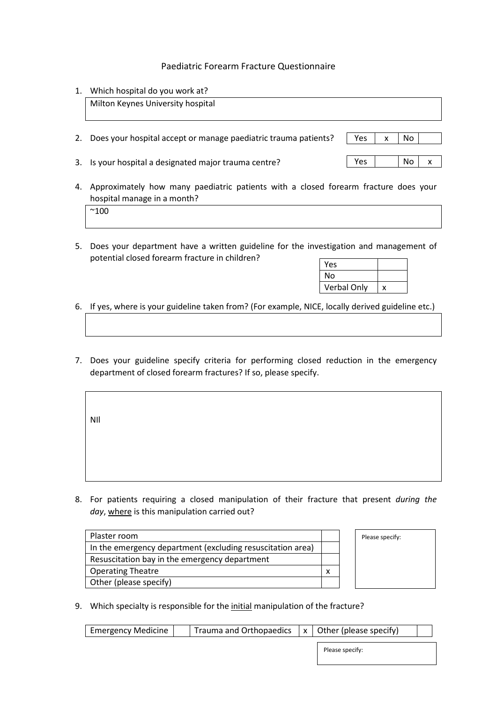## Paediatric Forearm Fracture Questionnaire

1. Which hospital do you work at?

|    | Milton Keynes University hospital                                                                                                  |     |   |     |   |
|----|------------------------------------------------------------------------------------------------------------------------------------|-----|---|-----|---|
| 2. | Does your hospital accept or manage paediatric trauma patients?                                                                    | Yes | x | No. |   |
|    | 3. Is your hospital a designated major trauma centre?                                                                              | Yes |   | No. | x |
| 4. | Approximately how many paediatric patients with a closed forearm fracture does your<br>hospital manage in a month?<br>$^{\sim}100$ |     |   |     |   |

5. Does your department have a written guideline for the investigation and management of potential closed forearm fracture in children?

| Yes         |  |
|-------------|--|
| N٥          |  |
| Verbal Only |  |

- 6. If yes, where is your guideline taken from? (For example, NICE, locally derived guideline etc.)
- 7. Does your guideline specify criteria for performing closed reduction in the emergency department of closed forearm fractures? If so, please specify.

NIl

8. For patients requiring a closed manipulation of their fracture that present *during the day*, where is this manipulation carried out?

| Plaster room                                               |  |
|------------------------------------------------------------|--|
| In the emergency department (excluding resuscitation area) |  |
| Resuscitation bay in the emergency department              |  |
| <b>Operating Theatre</b>                                   |  |
| Other (please specify)                                     |  |



9. Which specialty is responsible for the initial manipulation of the fracture?

| <b>Emergency Medicine</b> |  | Trauma and Orthopaedics $x \mid x$ Other (please specify) |  |  |
|---------------------------|--|-----------------------------------------------------------|--|--|
|                           |  |                                                           |  |  |

Please specify: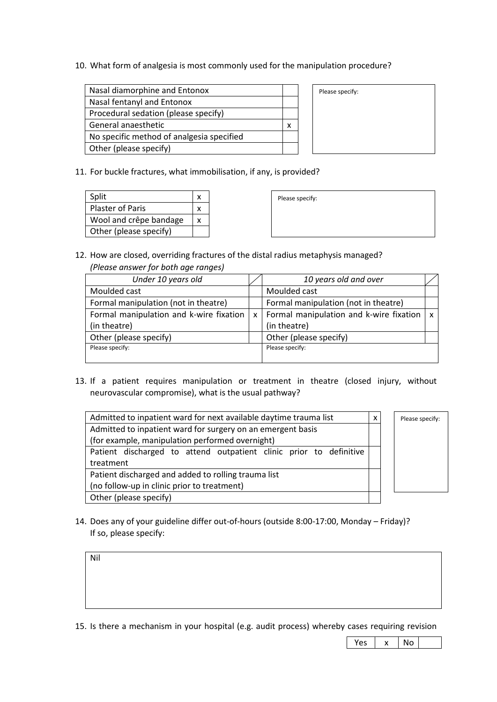10. What form of analgesia is most commonly used for the manipulation procedure?

| Nasal diamorphine and Entonox             |  |
|-------------------------------------------|--|
| Nasal fentanyl and Entonox                |  |
| Procedural sedation (please specify)      |  |
| General anaesthetic                       |  |
| No specific method of analgesia specified |  |
| Other (please specify)                    |  |
|                                           |  |

| Please specify: |
|-----------------|
|-----------------|

11. For buckle fractures, what immobilisation, if any, is provided?

| Split                   |   |
|-------------------------|---|
| <b>Plaster of Paris</b> |   |
| Wool and crêpe bandage  | x |
| Other (please specify)  |   |

| Please specify: |  |  |
|-----------------|--|--|
|                 |  |  |
|                 |  |  |
|                 |  |  |
|                 |  |  |
|                 |  |  |

12. How are closed, overriding fractures of the distal radius metaphysis managed? *(Please answer for both age ranges)*

| Under 10 years old                      |              | 10 years old and over                       |  |
|-----------------------------------------|--------------|---------------------------------------------|--|
| Moulded cast                            |              | Moulded cast                                |  |
| Formal manipulation (not in theatre)    |              | Formal manipulation (not in theatre)        |  |
| Formal manipulation and k-wire fixation | $\mathsf{x}$ | Formal manipulation and k-wire fixation   x |  |
| (in theatre)                            |              | (in theatre)                                |  |
| Other (please specify)                  |              | Other (please specify)                      |  |
| Please specify:                         |              | Please specify:                             |  |
|                                         |              |                                             |  |

13. If a patient requires manipulation or treatment in theatre (closed injury, without neurovascular compromise), what is the usual pathway?

| Admitted to inpatient ward for next available daytime trauma list  | x | Please specify: |
|--------------------------------------------------------------------|---|-----------------|
| Admitted to inpatient ward for surgery on an emergent basis        |   |                 |
| (for example, manipulation performed overnight)                    |   |                 |
| Patient discharged to attend outpatient clinic prior to definitive |   |                 |
| treatment                                                          |   |                 |
| Patient discharged and added to rolling trauma list                |   |                 |
| (no follow-up in clinic prior to treatment)                        |   |                 |
| Other (please specify)                                             |   |                 |

14. Does any of your guideline differ out-of-hours (outside 8:00-17:00, Monday – Friday)? If so, please specify:

Nil

15. Is there a mechanism in your hospital (e.g. audit process) whereby cases requiring revision

 $Yes \mid x \mid No$